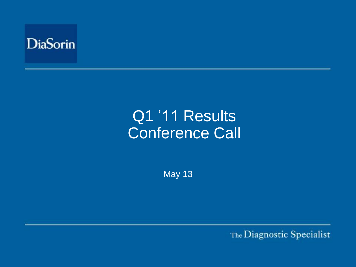

# Q1 '11 Results Conference Call

May 13

The Diagnostic Specialist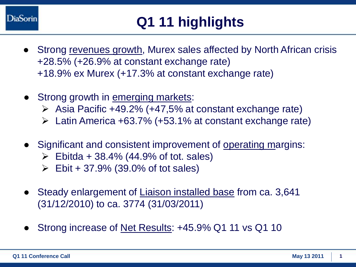

- Strong revenues growth, Murex sales affected by North African crisis +28.5% (+26.9% at constant exchange rate) +18.9% ex Murex (+17.3% at constant exchange rate)
- Strong growth in emerging markets:
	- $\triangleright$  Asia Pacific +49.2% (+47,5% at constant exchange rate)
	- $\triangleright$  Latin America +63.7% (+53.1% at constant exchange rate)
- Significant and consistent improvement of operating margins:
	- $\triangleright$  Ebitda + 38.4% (44.9% of tot. sales)
	- $\triangleright$  Ebit + 37.9% (39.0% of tot sales)
- Steady enlargement of Liaison installed base from ca. 3,641 (31/12/2010) to ca. 3774 (31/03/2011)
- Strong increase of Net Results: +45.9% Q1 11 vs Q1 10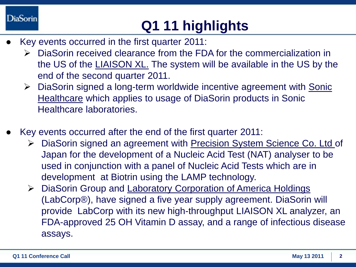#### **DiaSorin**

# **Q1 11 highlights**

- Key events occurred in the first quarter 2011:
	- DiaSorin received clearance from the FDA for the commercialization in the US of the LIAISON XL. The system will be available in the US by the end of the second quarter 2011.
	- $\triangleright$  DiaSorin signed a long-term worldwide incentive agreement with Sonic Healthcare which applies to usage of DiaSorin products in Sonic Healthcare laboratories.
- Key events occurred after the end of the first quarter 2011:
	- ▶ DiaSorin signed an agreement with Precision System Science Co. Ltd of Japan for the development of a Nucleic Acid Test (NAT) analyser to be used in conjunction with a panel of Nucleic Acid Tests which are in development at Biotrin using the LAMP technology.
	- ▶ DiaSorin Group and Laboratory Corporation of America Holdings (LabCorp®), have signed a five year supply agreement. DiaSorin will provide LabCorp with its new high-throughput LIAISON XL analyzer, an FDA-approved 25 OH Vitamin D assay, and a range of infectious disease assays.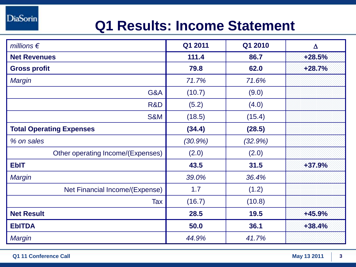**DiaSorin** 

## **Q1 Results: Income Statement**

| millions $\epsilon$               | Q1 2011    | Q1 2010 | $\Delta$ |
|-----------------------------------|------------|---------|----------|
| <b>Net Revenues</b>               | 111.4      | 86.7    | $+28.5%$ |
| <b>Gross profit</b>               | 79.8       | 62.0    | $+28.7%$ |
| <b>Margin</b>                     | 71.7%      | 71.6%   |          |
| G&A                               | (10.7)     | (9.0)   |          |
| R&D                               | (5.2)      | (4.0)   |          |
| <b>S&amp;M</b>                    | (18.5)     | (15.4)  |          |
| <b>Total Operating Expenses</b>   | (34.4)     | (28.5)  |          |
| % on sales                        | $(30.9\%)$ | (32.9%) |          |
| Other operating Income/(Expenses) | (2.0)      | (2.0)   |          |
| <b>EbIT</b>                       | 43.5       | 31.5    | +37.9%   |
| Margin                            | 39.0%      | 36.4%   |          |
| Net Financial Income/(Expense)    | 1.7        | (1.2)   |          |
| Tax                               | (16.7)     | (10.8)  |          |
| <b>Net Result</b>                 | 28.5       | 19.5    | +45.9%   |
| <b>EbITDA</b>                     | 50.0       | 36.1    | $+38.4%$ |
| Margin                            | 44.9%      | 41.7%   |          |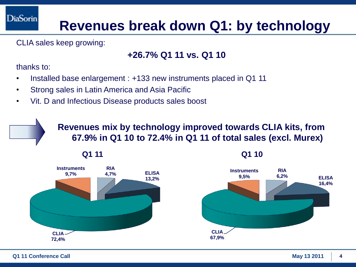### **Revenues break down Q1: by technology**

CLIA sales keep growing:

#### **+26.7% Q1 11 vs. Q1 10**

thanks to:

**DiaSorin** 

- Installed base enlargement : +133 new instruments placed in Q1 11
- Strong sales in Latin America and Asia Pacific
- Vit. D and Infectious Disease products sales boost

**Revenues mix by technology improved towards CLIA kits, from 67.9% in Q1 10 to 72.4% in Q1 11 of total sales (excl. Murex)**

**Q1 11 Q1 10**



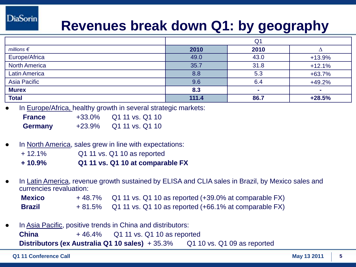#### **DiaSorin**

### **Revenues break down Q1: by geography**

|                      | Q <sub>1</sub> |      |          |
|----------------------|----------------|------|----------|
| millions $\epsilon$  | 2010           | 2010 |          |
| Europe/Africa        | 49.0           | 43.0 | $+13.9%$ |
| <b>North America</b> | 35.7           | 31.8 | $+12.1%$ |
| <b>Latin America</b> | 8.8            | 5.3  | $+63.7%$ |
| Asia Pacific         | 9.6            | 6.4  | $+49.2%$ |
| <b>Murex</b>         | 8.3            | ٠    |          |
| <b>Total</b>         | 111.4          | 86.7 | $+28.5%$ |

In Europe/Africa, healthy growth in several strategic markets:

| <b>France</b>  | $+33.0%$ | Q1 11 vs. Q1 10 |
|----------------|----------|-----------------|
| <b>Germany</b> | $+23.9%$ | Q1 11 vs. Q1 10 |

- In North America, sales grew in line with expectations:
	- + 12.1% Q1 11 vs. Q1 10 as reported
	- **+ 10.9% Q1 11 vs. Q1 10 at comparable FX**
- In Latin America, revenue growth sustained by ELISA and CLIA sales in Brazil, by Mexico sales and currencies revaluation:

| <b>Mexico</b> | +48.7% Q1 11 vs. Q1 10 as reported (+39.0% at comparable FX)       |
|---------------|--------------------------------------------------------------------|
| <b>Brazil</b> | $+81.5\%$ Q1 11 vs. Q1 10 as reported $(+66.1\%$ at comparable FX) |

In Asia Pacific, positive trends in China and distributors: **China** + 46.4% Q1 11 vs. Q1 10 as reported

**Distributors (ex Australia Q1 10 sales)** + 35.3% Q1 10 vs. Q1 09 as reported

**Q1 11 Conference Call May 13 2011 5**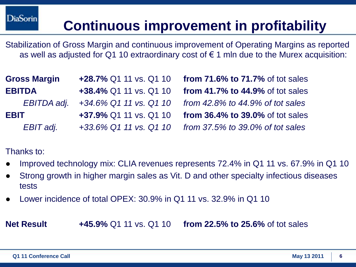## **Continuous improvement in profitability**

Stabilization of Gross Margin and continuous improvement of Operating Margins as reported as well as adjusted for Q1 10 extraordinary cost of  $\epsilon$  1 mln due to the Murex acquisition:

| <b>Gross Margin</b> | +28.7% Q1 11 vs. Q1 10 from 71.6% to 71.7% of tot sales             |
|---------------------|---------------------------------------------------------------------|
| <b>EBITDA</b>       | +38.4% Q1 11 vs. Q1 10 from 41.7% to 44.9% of tot sales             |
|                     | EBITDA adj. +34.6% Q1 11 vs. Q1 10 from 42.8% to 44.9% of tot sales |
| <b>EBIT</b>         | +37.9% Q1 11 vs. Q1 10 from 36.4% to 39.0% of tot sales             |
| EBIT adj.           | +33.6% Q1 11 vs. Q1 10 from 37.5% to 39.0% of tot sales             |

Thanks to:

- Improved technology mix: CLIA revenues represents 72.4% in Q1 11 vs. 67.9% in Q1 10
- Strong growth in higher margin sales as Vit. D and other specialty infectious diseases tests
- Lower incidence of total OPEX:  $30.9\%$  in Q1 11 vs.  $32.9\%$  in Q1 10

**Net Result +45.9%** Q1 11 vs. Q1 10 **from 22.5% to 25.6%** of tot sales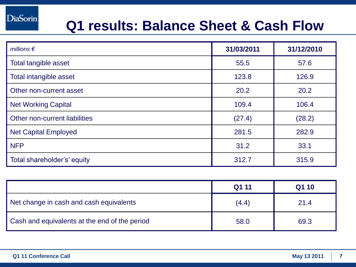### **Q1 results: Balance Sheet & Cash Flow**

| millions $\epsilon$           | 31/03/2011 | 31/12/2010 |
|-------------------------------|------------|------------|
| Total tangible asset          | 55.5       | 57.6       |
| Total intangible asset        | 123.8      | 126.9      |
| Other non-current asset       | 20.2       | 20.2       |
| <b>Net Working Capital</b>    | 109.4      | 106.4      |
| Other non-current liabilities | (27.4)     | (28.2)     |
| <b>Net Capital Employed</b>   | 281.5      | 282.9      |
| <b>NFP</b>                    | 31.2       | 33.1       |
| Total shareholder's' equity   | 312.7      | 315.9      |

|                                               | Q1 11 | Q1 10 |
|-----------------------------------------------|-------|-------|
| Net change in cash and cash equivalents       | (4.4) | 21.4  |
| Cash and equivalents at the end of the period | 58.0  | 69.3  |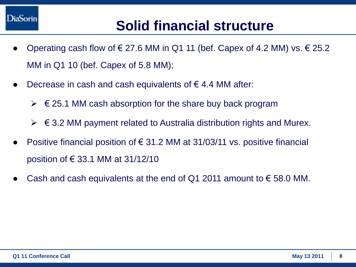

### **Solid financial structure**

- Operating cash flow of  $\epsilon$  27.6 MM in Q1 11 (bef. Capex of 4.2 MM) vs.  $\epsilon$  25.2 MM in Q1 10 (bef. Capex of 5.8 MM);
- Decrease in cash and cash equivalents of  $\epsilon$  4.4 MM after:
	- $\triangleright \in$  25.1 MM cash absorption for the share buy back program
	- $\triangleright\,\,\epsilon$  3.2 MM payment related to Australia distribution rights and Murex.
- Positive financial position of  $\epsilon$  31.2 MM at 31/03/11 vs. positive financial position of € 33.1 MM at 31/12/10
- Cash and cash equivalents at the end of Q1 2011 amount to  $\epsilon$  58.0 MM.